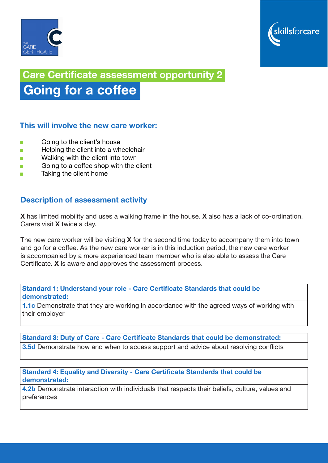



# Care Certificate assessment opportunity 2

# Going for a coffee

### This will involve the new care worker:

- Going to the client's house
- Helping the client into a wheelchair
- Walking with the client into town
- Going to a coffee shop with the client
- Taking the client home

### Description of assessment activity

X has limited mobility and uses a walking frame in the house. X also has a lack of co-ordination. Carers visit X twice a day.

The new care worker will be visiting  $X$  for the second time today to accompany them into town and go for a coffee. As the new care worker is in this induction period, the new care worker is accompanied by a more experienced team member who is also able to assess the Care Certificate. X is aware and approves the assessment process.

Standard 1: Understand your role - Care Certificate Standards that could be demonstrated:

**1.1c** Demonstrate that they are working in accordance with the agreed ways of working with their employer

Standard 3: Duty of Care - Care Certificate Standards that could be demonstrated:

**3.5d** Demonstrate how and when to access support and advice about resolving conflicts

Standard 4: Equality and Diversity - Care Certificate Standards that could be demonstrated:

4.2b Demonstrate interaction with individuals that respects their beliefs, culture, values and preferences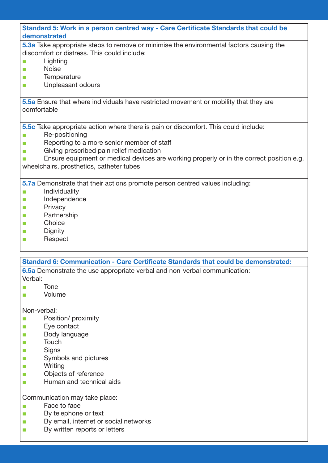| Standard 5: Work in a person centred way - Care Certificate Standards that could be<br>demonstrated |
|-----------------------------------------------------------------------------------------------------|
| 5.3a Take appropriate steps to remove or minimise the environmental factors causing the             |
| discomfort or distress. This could include:                                                         |
| Lighting                                                                                            |
| <b>Noise</b><br><b>The State</b>                                                                    |
| Temperature<br>п                                                                                    |
| Unpleasant odours<br>m.                                                                             |
|                                                                                                     |
| 5.5a Ensure that where individuals have restricted movement or mobility that they are               |
| comfortable                                                                                         |
|                                                                                                     |
| 5.5c Take appropriate action where there is pain or discomfort. This could include:                 |
| Re-positioning                                                                                      |
| Reporting to a more senior member of staff                                                          |
| Giving prescribed pain relief medication<br><b>The State</b>                                        |
| Ensure equipment or medical devices are working properly or in the correct position e.g.            |
| wheelchairs, prosthetics, catheter tubes                                                            |
|                                                                                                     |
| 5.7a Demonstrate that their actions promote person centred values including:                        |
| Individuality                                                                                       |
| Independence<br>T.                                                                                  |
| Privacy<br>$\mathcal{C}$                                                                            |
| Partnership<br>T.                                                                                   |
| Choice<br><b>Tale</b>                                                                               |
| Dianity                                                                                             |

- Dignity
- Respect

#### Standard 6: Communication - Care Certificate Standards that could be demonstrated:

6.5a Demonstrate the use appropriate verbal and non-verbal communication:

- Verbal:
- Tone
- **Volume**

Non-verbal:

- Position/ proximity
- Eye contact
- Body language
- Touch
- Signs
- Symbols and pictures
- Writing
- Objects of reference
- Human and technical aids

Communication may take place:

- Face to face
- By telephone or text
- By email, internet or social networks
- By written reports or letters